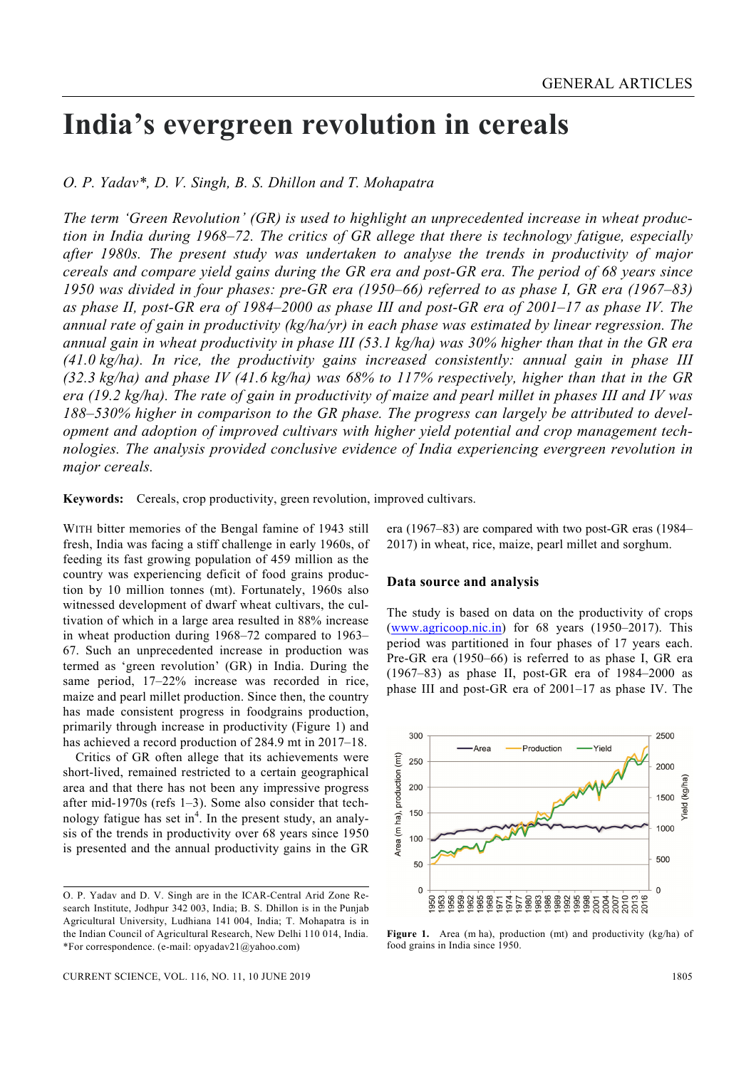# **India's evergreen revolution in cereals**

*O. P. Yadav\*, D. V. Singh, B. S. Dhillon and T. Mohapatra*

*The term 'Green Revolution' (GR) is used to highlight an unprecedented increase in wheat production in India during 1968–72. The critics of GR allege that there is technology fatigue, especially after 1980s. The present study was undertaken to analyse the trends in productivity of major cereals and compare yield gains during the GR era and post-GR era. The period of 68 years since 1950 was divided in four phases: pre-GR era (1950–66) referred to as phase I, GR era (1967–83) as phase II, post-GR era of 1984–2000 as phase III and post-GR era of 2001–17 as phase IV. The annual rate of gain in productivity (kg/ha/yr) in each phase was estimated by linear regression. The annual gain in wheat productivity in phase III (53.1 kg/ha) was 30% higher than that in the GR era (41.0 kg/ha). In rice, the productivity gains increased consistently: annual gain in phase III (32.3 kg/ha) and phase IV (41.6 kg/ha) was 68% to 117% respectively, higher than that in the GR era (19.2 kg/ha). The rate of gain in productivity of maize and pearl millet in phases III and IV was 188–530% higher in comparison to the GR phase. The progress can largely be attributed to development and adoption of improved cultivars with higher yield potential and crop management tech*nologies. The analysis provided conclusive evidence of India experiencing evergreen revolution in *major cereals.* 

**Keywords:** Cereals, crop productivity, green revolution, improved cultivars.

WITH bitter memories of the Bengal famine of 1943 still fresh, India was facing a stiff challenge in early 1960s, of feeding its fast growing population of 459 million as the country was experiencing deficit of food grains production by 10 million tonnes (mt). Fortunately, 1960s also witnessed development of dwarf wheat cultivars, the cultivation of which in a large area resulted in 88% increase in wheat production during 1968–72 compared to 1963– 67. Such an unprecedented increase in production was termed as 'green revolution' (GR) in India. During the same period, 17–22% increase was recorded in rice, maize and pearl millet production. Since then, the country has made consistent progress in foodgrains production, primarily through increase in productivity (Figure 1) and has achieved a record production of 284.9 mt in 2017–18.

 Critics of GR often allege that its achievements were short-lived, remained restricted to a certain geographical area and that there has not been any impressive progress after mid-1970s (refs 1–3). Some also consider that technology fatigue has set in<sup>4</sup>. In the present study, an analysis of the trends in productivity over 68 years since 1950 is presented and the annual productivity gains in the GR era (1967–83) are compared with two post-GR eras (1984– 2017) in wheat, rice, maize, pearl millet and sorghum.

## **Data source and analysis**

The study is based on data on the productivity of crops (www.agricoop.nic.in) for 68 years (1950–2017). This period was partitioned in four phases of 17 years each. Pre-GR era (1950–66) is referred to as phase I, GR era (1967–83) as phase II, post-GR era of 1984–2000 as phase III and post-GR era of 2001–17 as phase IV. The



Figure 1. Area (m ha), production (mt) and productivity (kg/ha) of food grains in India since 1950.

O. P. Yadav and D. V. Singh are in the ICAR-Central Arid Zone Research Institute, Jodhpur 342 003, India; B. S. Dhillon is in the Punjab Agricultural University, Ludhiana 141 004, India; T. Mohapatra is in the Indian Council of Agricultural Research, New Delhi 110 014, India. \*For correspondence. (e-mail: opyadav21@yahoo.com)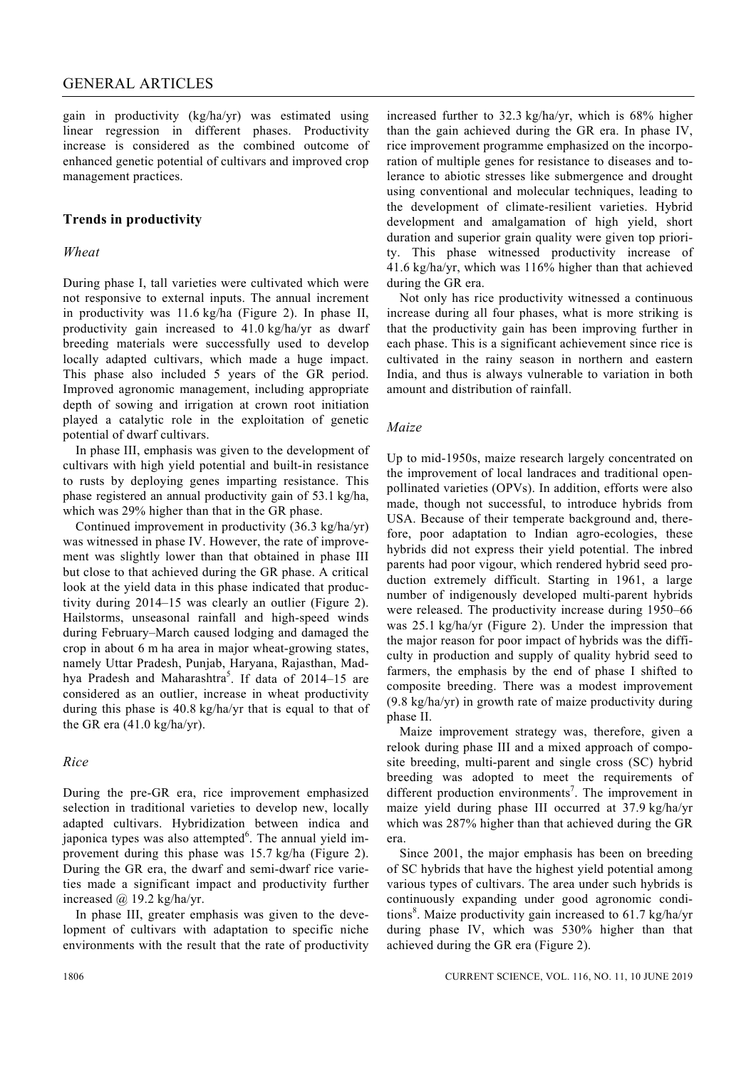gain in productivity (kg/ha/yr) was estimated using linear regression in different phases. Productivity increase is considered as the combined outcome of enhanced genetic potential of cultivars and improved crop management practices.

# **Trends in productivity**

#### *Wheat*

During phase I, tall varieties were cultivated which were not responsive to external inputs. The annual increment in productivity was 11.6 kg/ha (Figure 2). In phase II, productivity gain increased to 41.0 kg/ha/yr as dwarf breeding materials were successfully used to develop locally adapted cultivars, which made a huge impact. This phase also included 5 years of the GR period. Improved agronomic management, including appropriate depth of sowing and irrigation at crown root initiation played a catalytic role in the exploitation of genetic potential of dwarf cultivars.

 In phase III, emphasis was given to the development of cultivars with high yield potential and built-in resistance to rusts by deploying genes imparting resistance. This phase registered an annual productivity gain of 53.1 kg/ha, which was 29% higher than that in the GR phase.

 Continued improvement in productivity (36.3 kg/ha/yr) was witnessed in phase IV. However, the rate of improvement was slightly lower than that obtained in phase III but close to that achieved during the GR phase. A critical look at the yield data in this phase indicated that productivity during 2014–15 was clearly an outlier (Figure 2). Hailstorms, unseasonal rainfall and high-speed winds during February–March caused lodging and damaged the crop in about 6 m ha area in major wheat-growing states, namely Uttar Pradesh, Punjab, Haryana, Rajasthan, Madhya Pradesh and Maharashtra<sup>5</sup>. If data of 2014–15 are considered as an outlier, increase in wheat productivity during this phase is 40.8 kg/ha/yr that is equal to that of the GR era (41.0 kg/ha/yr).

#### *Rice*

During the pre-GR era, rice improvement emphasized selection in traditional varieties to develop new, locally adapted cultivars. Hybridization between indica and japonica types was also attempted<sup>6</sup>. The annual yield improvement during this phase was 15.7 kg/ha (Figure 2). During the GR era, the dwarf and semi-dwarf rice varieties made a significant impact and productivity further increased  $\omega$  19.2 kg/ha/yr.

 In phase III, greater emphasis was given to the development of cultivars with adaptation to specific niche environments with the result that the rate of productivity increased further to 32.3 kg/ha/yr, which is 68% higher than the gain achieved during the GR era. In phase IV, rice improvement programme emphasized on the incorporation of multiple genes for resistance to diseases and tolerance to abiotic stresses like submergence and drought using conventional and molecular techniques, leading to the development of climate-resilient varieties. Hybrid development and amalgamation of high yield, short duration and superior grain quality were given top priority. This phase witnessed productivity increase of 41.6 kg/ha/yr, which was 116% higher than that achieved during the GR era.

 Not only has rice productivity witnessed a continuous increase during all four phases, what is more striking is that the productivity gain has been improving further in each phase. This is a significant achievement since rice is cultivated in the rainy season in northern and eastern India, and thus is always vulnerable to variation in both amount and distribution of rainfall.

## *Maize*

Up to mid-1950s, maize research largely concentrated on the improvement of local landraces and traditional openpollinated varieties (OPVs). In addition, efforts were also made, though not successful, to introduce hybrids from USA. Because of their temperate background and, therefore, poor adaptation to Indian agro-ecologies, these hybrids did not express their yield potential. The inbred parents had poor vigour, which rendered hybrid seed production extremely difficult. Starting in 1961, a large number of indigenously developed multi-parent hybrids were released. The productivity increase during 1950–66 was 25.1 kg/ha/yr (Figure 2). Under the impression that the major reason for poor impact of hybrids was the difficulty in production and supply of quality hybrid seed to farmers, the emphasis by the end of phase I shifted to composite breeding. There was a modest improvement (9.8 kg/ha/yr) in growth rate of maize productivity during phase II.

 Maize improvement strategy was, therefore, given a relook during phase III and a mixed approach of composite breeding, multi-parent and single cross (SC) hybrid breeding was adopted to meet the requirements of different production environments<sup>7</sup>. The improvement in maize yield during phase III occurred at 37.9 kg/ha/yr which was 287% higher than that achieved during the GR era.

 Since 2001, the major emphasis has been on breeding of SC hybrids that have the highest yield potential among various types of cultivars. The area under such hybrids is continuously expanding under good agronomic conditions<sup>8</sup>. Maize productivity gain increased to 61.7 kg/ha/yr during phase IV, which was 530% higher than that achieved during the GR era (Figure 2).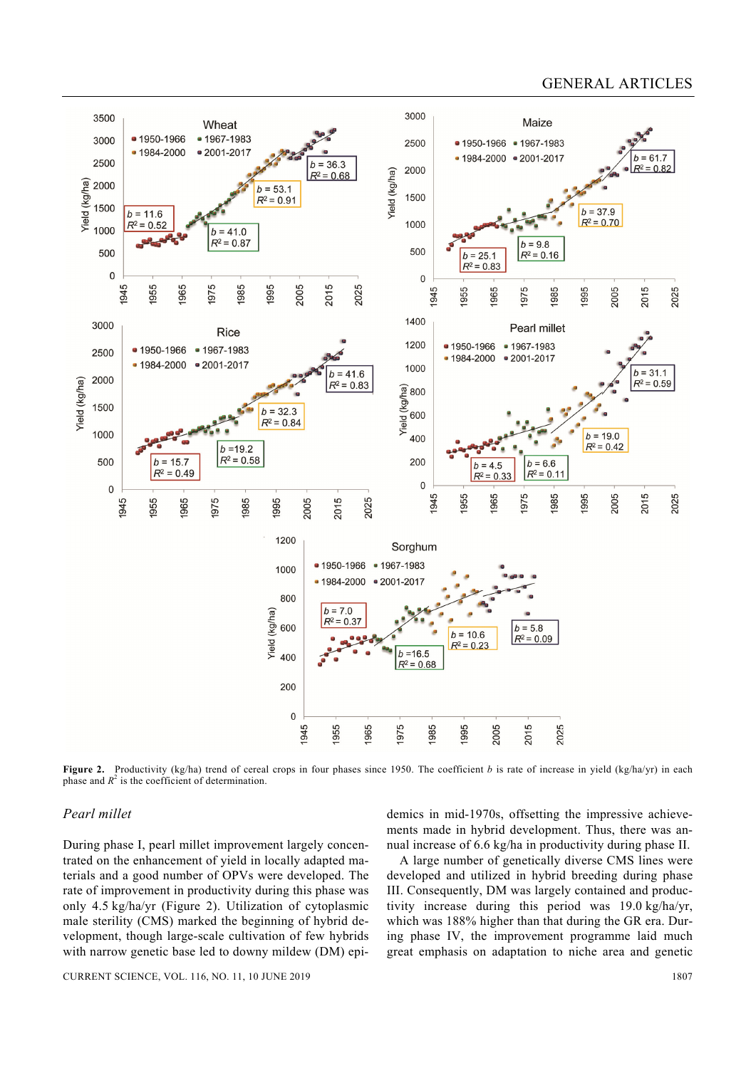# GENERAL ARTICLES



**Figure 2.** Productivity (kg/ha) trend of cereal crops in four phases since 1950. The coefficient *b* is rate of increase in yield (kg/ha/yr) in each phase and  $R^2$  is the coefficient of determination.

## *Pearl millet*

During phase I, pearl millet improvement largely concentrated on the enhancement of yield in locally adapted materials and a good number of OPVs were developed. The rate of improvement in productivity during this phase was only 4.5 kg/ha/yr (Figure 2). Utilization of cytoplasmic male sterility (CMS) marked the beginning of hybrid development, though large-scale cultivation of few hybrids with narrow genetic base led to downy mildew (DM) epidemics in mid-1970s, offsetting the impressive achievements made in hybrid development. Thus, there was annual increase of 6.6 kg/ha in productivity during phase II.

 A large number of genetically diverse CMS lines were developed and utilized in hybrid breeding during phase III. Consequently, DM was largely contained and productivity increase during this period was 19.0 kg/ha/yr, which was 188% higher than that during the GR era. During phase IV, the improvement programme laid much great emphasis on adaptation to niche area and genetic